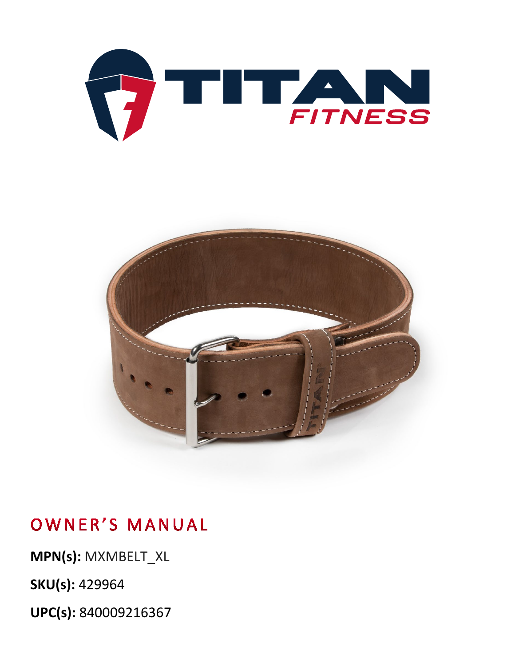



**MPN(s):** MXMBELT\_XL

**SKU(s):** 429964

**UPC(s):** 840009216367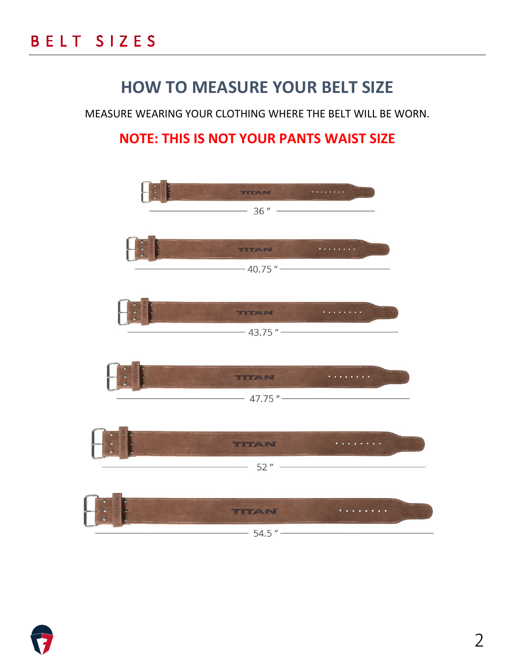## **HOW TO MEASURE YOUR BELT SIZE**

MEASURE WEARING YOUR CLOTHING WHERE THE BELT WILL BE WORN.

#### **NOTE: THIS IS NOT YOUR PANTS WAIST SIZE**



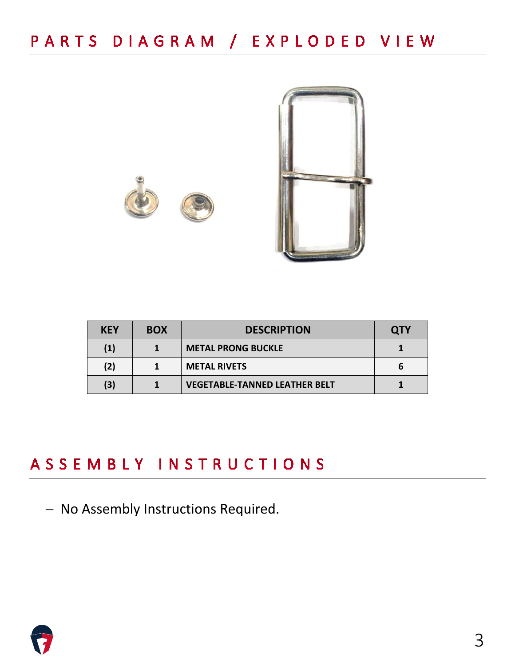



| <b>KEY</b> | <b>BOX</b> | <b>DESCRIPTION</b>                   | <b>OTY</b> |
|------------|------------|--------------------------------------|------------|
| (1)        |            | <b>METAL PRONG BUCKLE</b>            |            |
| (2)        |            | <b>METAL RIVETS</b>                  |            |
| (3)        |            | <b>VEGETABLE-TANNED LEATHER BELT</b> |            |

## ASSEMBLY INSTRUCTIONS

− No Assembly Instructions Required.